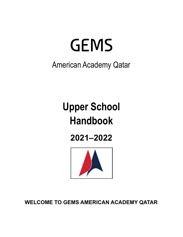# **GEMS**

## American Academy Qatar

## **Upper School Handbook**

### **2021–2022**



**WELCOME TO GEMS AMERICAN ACADEMY QATAR**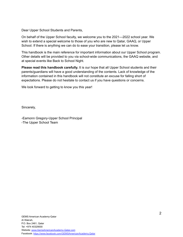Dear Upper School Students and Parents,

On behalf of the Upper School faculty, we welcome you to the 2021—2022 school year. We wish to extend a special welcome to those of you who are new to Qatar, GAAQ, or Upper School. If there is anything we can do to ease your transition, please let us know.

This handbook is the main reference for important information about our Upper School program. Other details will be provided to you via school-wide communications, the GAAQ website, and at special events like Back to School Night.

**Please read this handbook carefully.** It is our hope that all Upper School students and their parents/guardians will have a good understanding of the contents. Lack of knowledge of the information contained in this handbook will not constitute an excuse for falling short of expectations. Please do not hesitate to contact us if you have questions or concerns.

We look forward to getting to know you this year!

Sincerely,

-Eamonn Gregory-Upper School Principal -The Upper School Team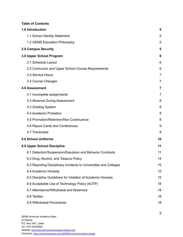#### **Table of Contents**

| 1.0 Introduction                                                  | 5              |
|-------------------------------------------------------------------|----------------|
| 1.1 School Identity Statement                                     | 5              |
| 1.2 GEMS Education Philosophy                                     | 5              |
| <b>2.0 Campus Security</b>                                        | 5              |
| 3.0 Upper School Program                                          | 6              |
| 3.1 Schedule Layout                                               | 6              |
| 3.2 Curriculum and Upper School Course Requirements               | 6              |
| 3.3 Service Hours                                                 | 7              |
| 3.4 Course Changes                                                | $\overline{7}$ |
| <b>4.0 Assessment</b>                                             | 7              |
| 4.1 Incomplete assignments                                        | 7              |
| 4.2 Absence During Assessment                                     | 8              |
| 4.3 Grading System                                                | 8              |
| 4.4 Academic Probation                                            | 8              |
| 4.5 Promotion/Retention/Non Continuance                           | 8              |
| 4.6 Report Cards and Conferences                                  | 9              |
| 4.7 Transcripts                                                   | 9              |
| <b>5.0 School Uniforms</b>                                        | 10             |
| 6.0 Upper School Discipline                                       | 11             |
| 6.1 Detention/Suspension/Expulsion and Behavior Contracts         | 11             |
| 6.2 Drug, Alcohol, and Tobacco Policy                             | 14             |
| 6.3 Reporting Disciplinary Incidents to Universities and Colleges | 15             |
| 6.4 Academic Honesty                                              | 15             |
| 6.5 Discipline Guidelines for Violation of Academic Honesty       | 15             |
| 6.6 Acceptable Use of Technology Policy (AUTP)                    | 16             |
| 6.7 Attendance/Withdrawal and Absences                            | 18             |
| 6.8 Tardies                                                       | 18             |
| 6.9 Withdrawal Procedures                                         | 18             |
|                                                                   |                |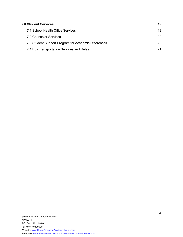| <b>7.0 Student Services</b> |                                                      | 19 |
|-----------------------------|------------------------------------------------------|----|
|                             | 7.1 School Health Office Services                    | 19 |
|                             | 7.2 Counselor Services                               | 20 |
|                             | 7.3 Student Support Program for Academic Differences | 20 |
|                             | 7.4 Bus Transportation Services and Rules            | 21 |
|                             |                                                      |    |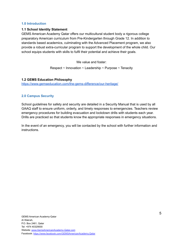#### <span id="page-4-0"></span>**1.0 Introduction**

#### <span id="page-4-1"></span>**1.1 School Identity Statement**

GEMS American Academy Qatar offers our multicultural student body a rigorous college preparatory American curriculum from Pre-Kindergarten through Grade 12. In addition to standards based academics, culminating with the Advanced Placement program, we also provide a robust extra-curricular program to support the development of the whole child. Our school equips students with skills to fulfil their potential and achieve their goals.

We value and foster:

Respect  $\sim$  Innovation  $\sim$  Leadership  $\sim$  Purpose  $\sim$  Tenacity

#### <span id="page-4-2"></span>**1.2 GEMS Education Philosophy** <https://www.gemseducation.com/the-gems-difference/our-heritage/>

#### <span id="page-4-3"></span>**2.0 Campus Security**

School guidelines for safety and security are detailed in a Security Manual that is used by all GAAQ staff to ensure uniform, orderly, and timely responses to emergencies. Teachers review emergency procedures for building evacuation and lockdown drills with students each year. Drills are practiced so that students know the appropriate responses in emergency situations.

In the event of an emergency, you will be contacted by the school with further information and instructions.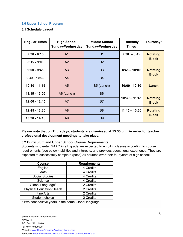#### <span id="page-5-0"></span>**3.0 Upper School Program**

#### <span id="page-5-1"></span>**3.1 Schedule Layout**

| <b>Regular Times</b> | <b>High School</b><br>Sunday-Wednesday | <b>Middle School</b><br><b>Sunday-Wednesday</b> | <b>Thursday</b><br><b>Times</b> | Thursday*                       |
|----------------------|----------------------------------------|-------------------------------------------------|---------------------------------|---------------------------------|
| $7:30 - 8:15$        | A <sub>1</sub>                         | <b>B1</b>                                       | $7:30 - 8:45$                   | <b>Rotating</b>                 |
| $8:15 - 9:00$        | A2                                     | <b>B2</b>                                       |                                 | <b>Block</b>                    |
| $9:00 - 9:45$        | A <sub>3</sub>                         | <b>B3</b>                                       | $8:45 - 10:00$                  | <b>Rotating</b>                 |
| $9:45 - 10:30$       | A <sup>4</sup>                         | <b>B4</b>                                       |                                 | <b>Block</b>                    |
| $10:30 - 11:15$      | A <sub>5</sub>                         | B5 (Lunch)                                      | 10:00 - 10:30                   | Lunch                           |
| $11:15 - 12:00$      | A6 (Lunch)                             | <b>B6</b>                                       |                                 |                                 |
| 12:00 - 12:45        | A7                                     | <b>B7</b>                                       | $10:30 - 11:45$                 | <b>Rotating</b><br><b>Block</b> |
| 12:45 - 13:30        | A8                                     | <b>B8</b>                                       | $11:45 - 13:30$                 | <b>Rotating</b>                 |
| 13:30 - 14:15        | A9                                     | B <sub>9</sub>                                  |                                 | <b>Block</b>                    |

**Please note that on Thursdays, students are dismissed at 13:30 p.m. in order for teacher professional development meetings to take place.**

#### <span id="page-5-2"></span>**3.2 Curriculum and Upper School Course Requirements**

Students who enter GAAQ in 9th grade are expected to enroll in classes according to course requirements (see below), abilities and interests, and previous educational experience. They are expected to successfully complete (pass) 24 courses over their four years of high school.

| <b>Course</b>                    | <b>Requirements</b> |
|----------------------------------|---------------------|
| English                          | 4 Credits           |
| Math                             | 4 Credits           |
| <b>Social Studies</b>            | 4 Credits           |
| Science                          | 4 Credits           |
| Global Language*                 | 2 Credits           |
| <b>Physical Education/Health</b> | 2 Credits           |
| <b>Fine Arts</b>                 | 2 Credits           |
| Student choice                   | 2 Credits           |

\* Two consecutive years in the same Global language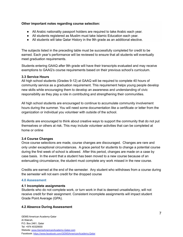#### **Other important notes regarding course selection:**

- All Arabic nationality passport holders are required to take Arabic each year.
- All students registered as Muslim must take Islamic Education each year.
- All students will take Qatar History in the 9th grade as an additional elective.

The subjects listed in the preceding table must be successfully completed for credit to be earned. Each year's performance will be reviewed to ensure that all students will eventually meet graduation requirements.

Students entering GAAQ after 9th grade will have their transcripts evaluated and may receive exemptions to GAAQ's course requirements based on their previous school's curriculum.

#### <span id="page-6-0"></span>**3.3 Service Hours**

All high school students (Grades 9-12) at GAAQ will be required to complete 40 hours of community service as a graduation requirement. This requirement helps young people develop new skills while encouraging them to develop an awareness and understanding of civic responsibility as they play a role in contributing and strengthening their communities.

All high school students are encouraged to continue to accumulate community involvement hours during the summer. You will need some documentation like a certificate or letter from the organization or individual you volunteer with outside of the school.

Students are encouraged to think about creative ways to support the community that do not put themselves or others at risk. This may include volunteer activities that can be completed at home or online

#### <span id="page-6-1"></span>**3.4 Course Changes**

Once course selections are made, course changes are discouraged. Changes are rare and only under exceptional circumstances. A grace period for students to change a potential course during the first week of school is allowed. After this period, changes are made on a case by case basis. In the event that a student has been moved to a new course because of an extenuating circumstance, the student must complete any work missed in the new course.

Credits are earned at the end of the semester. Any student who withdraws from a course during the semester will not earn credit for the dropped course

#### <span id="page-6-2"></span>**4.0 Assessment**

#### <span id="page-6-3"></span>**4.1 Incomplete assignments**

Students who do not complete work, or turn work in that is deemed unsatisfactory, will not receive credit for their assignment. Consistent incomplete assignments will impact student Grade Point Average (GPA).

#### <span id="page-6-4"></span>**4.2 Absence During Assessment**

GEMS American Academy-Qatar Al Wakrah, P.O. Box 2461, Qatar Tel: +974 40329000 Website: [www.GemsAmericanAcademy-Qatar.com](http://www.gemsamericanacademy-qatar.com) Facebook: <https://www.facebook.com/GEMSAmericanAcademy.Qatar>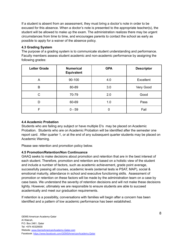If a student is absent from an assessment, they must bring a doctor's note in order to be excused for this absence. When a doctor's note is presented to the appropriate teacher(s), the student will be allowed to make up the exam. The administration realizes there may be urgent circumstances from time to time, and encourages parents to contact the school as early as possible to apply for a waiver of the absence policy.

#### <span id="page-7-0"></span>**4.3 Grading System**

The purpose of a grading system is to communicate student understanding and performance. Faculty members assess student academic and non-academic performance by assigning the following grades:

| <b>Letter Grade</b> | <b>Numerical</b><br><b>Equivalent</b> | <b>GPA</b> | <b>Descriptor</b> |
|---------------------|---------------------------------------|------------|-------------------|
| Α                   | 90-100                                | 4.0        | Excellent         |
| B                   | 80-89                                 | 3.0        | Very Good         |
| C                   | 70-79                                 | 2.0        | Good              |
| D                   | 60-69                                 | 1.0        | Pass              |
| F                   | $0 - 59$                              | 0          | Fail              |

#### <span id="page-7-1"></span>**4.4 Academic Probation**

Students who are failing any subject or have multiple D's may be placed on Academic Probation. Students who are on Academic Probation will be identified after the semester one report card. After quarter 1, or at the end of any subsequent quarter students may be placed on Academic Warning.

Please see retention and promotion policy below.

#### <span id="page-7-2"></span>**4.5 Promotion/Retention/Non Continuance**

GAAQ seeks to make decisions about promotion and retention that are in the best interest of each student. Therefore, promotion and retention are based on a holistic view of the student and include a number of factors, such as academic achievement, grade point average, successfully passing all courses, academic levels (external tests ie PSAT, MAP), social & emotional maturity, attendance in school and executive functioning skills. Assessment of promotion or retention on these factors will be made by the administration team on a case by case basis. We understand the severity of retention decisions and will not make these decisions lightly. However, ultimately we are responsible to ensure students are able to succeed academically and meet our graduation requirements.

If retention is a possibility, conversations with families will begin after a concern has been identified and a pattern of low academic performance has been established.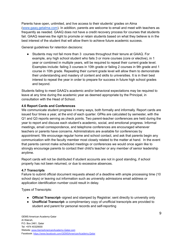Parents have open, unlimited, and live access to their students' grades on Alma ([www.gaaq.getalma.com](http://www.gaaq.getalma.com)). In addition, parents are welcome to email and meet with teachers as frequently as needed. GAAQ does not have a credit recovery process for courses that students fail. GAAQ reserves the right to promote or retain students based on what they believe is in the best interest of the student that will allow them to achieve future academic success.

General guidelines for retention decisions:

● Students may not fail more than 3 courses throughout their tenure at GAAQ. For example, any high school student who fails 3 or more courses (core or elective), in 1 year or combined in multiple years, will be required to repeat their current grade level. Examples include: failing 3 courses in 10th grade or failing 2 courses in 9th grade and 1 course in 10th grade. Repeating their current grade level will allow them to demonstrate their understanding and mastery of content and skills to universities. It is in their best interest to repeat the year in order to prepare for success in future high school grades and beyond.

Students failing to meet GAAQ's academic and/or behavioral expectations may be required to leave at any time during the academic year as deemed appropriate by the Principal, in consultation with the Head of School.

#### <span id="page-8-0"></span>**4.6 Report Cards and Conferences**

We communicate student progress in many ways, both formally and informally. Report cards are issued four times a year, at the end of each quarter. GPAs are calculated by semester, with the Q1 and Q3 reports serving as check points. Two parent-teacher conferences are held during the year to report and discuss each student's academic, social, and emotional progress. Informal meetings, email correspondence, and telephone conferences are encouraged whenever teachers or parents have concerns. Administrators are available for conferences by appointment. We encourage regular home and school contact, and ask that parents begin any communication with the faculty member most closely related to the matter at hand. In the event that parents cannot make scheduled meetings or conferences we would once again like to strongly encourage parents to contact their child's teacher or any member of senior leadership anytime.

Report cards will not be distributed if student accounts are not in good standing, if school property has not been returned, or due to excessive absences.

#### <span id="page-8-1"></span>**4.7 Transcripts**

Failure to submit official document requests ahead of a deadline with ample processing time (10 school days) or leaving out information such as university admissions email address or application identification number could result in delay.

Types of Transcripts:

- **Official Transcript-** signed and stamped by Registrar; sent directly to university only
- **Unofficial Transcript-** a complimentary copy of unofficial transcripts are provided to student and parent for personal records and self-reporting

GEMS American Academy-Qatar Al Wakrah, P.O. Box 2461, Qatar Tel: +974 40329000 Website: [www.GemsAmericanAcademy-Qatar.com](http://www.gemsamericanacademy-qatar.com) Facebook: <https://www.facebook.com/GEMSAmericanAcademy.Qatar>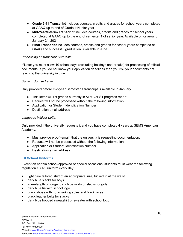- **Grade 9-11 Transcript** includes courses, credits and grades for school years completed at GAAQ up to end of Grade 11/junior year
- **Mid-Year/Interim Transcript** includes courses, credits and grades for school years completed at GAAQ up to the end of semester 1 of senior year. Available on or around January 24, 2021
- **Final Transcript** includes courses, credits and grades for school years completed at GAAQ and successful graduation. Available in June.

#### *Processing of Transcript Requests:*

\*\*Note: you must allow 10 school days (excluding holidays and breaks) for processing of official documents. If you do not know your application deadlines then you risk your documents not reaching the university in time.

#### *Current Course Letter:*

Only provided before mid-year/Semester 1 transcript is available in January.

- This letter will list grades currently in ALMA or S1 progress report.
- Request will not be processed without the following information
- Application or Student Identification Number
- Destination email address

#### *Language Waiver Letter:*

Only provided if the university requests it and you have completed 4 years at GEMS American Academy.

- Must provide proof (email) that the university is requesting documentation.
- Request will not be processed without the following information
- Application or Student Identification Number
- Destination email address

#### <span id="page-9-0"></span>**5.0 School Uniforms**

Except on certain school-approved or special occasions, students must wear the following regulation GAAQ uniform every day:

- light blue tailored shirt of an appropriate size, tucked in at the waist
- dark blue slacks for boys
- knee-length or longer dark blue skirts or slacks for girls
- dark blue tie with school logo
- black shoes with non-marking soles and black laces
- black leather belts for slacks
- dark blue hooded sweatshirt or sweater with school logo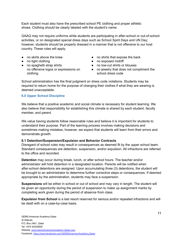Each student must also have the prescribed school PE clothing and proper athletic shoes. Clothing should be clearly labeled with the student's name.

GAAQ may not require uniforms while students are participating in after-school or out-of-school activities, or on designated special dress days such as School Spirit Days and UN Day; however, students should be properly dressed in a manner that is not offensive to our host country. These rules will apply:

- 
- 
- no spaghetti strap shirts <br>● no low-cut shirts or blouses clothing
- no skirts above the knee <br>● no shirts that expose the back
- no tight clothing <br>● no exposed midriff
	-
	- no offensive logos or expressions on  $\qquad \bullet \quad$  no jewelry that does not compliment the school dress code

School administration has the final judgment on dress code violations. Students may be required to return home for the purpose of changing their clothes if what they are wearing is deemed unacceptable.

#### <span id="page-10-0"></span>**6.0 Upper School Discipline**

We believe that a positive academic and social climate is necessary for student learning. We also believe that responsibility for establishing this climate is shared by each student, faculty member, and parent.

We value having students follow reasonable rules and believe it is important for students to understand their purpose. Part of the learning process involves making decisions and sometimes making mistakes; however, we expect that students will learn from their errors and demonstrate growth.

#### <span id="page-10-1"></span>**6.1 Detention/Suspension/Expulsion and Behavior Contracts**

Disregard of school rules may result in consequences as deemed fit by the upper school team. Standard consequences are detention, suspension, and/or expulsion. All infractions are referred to the office and recorded.

**Detention** may occur during break, lunch, or after school hours. The teacher and/or administrator will hold detention in a designated location. Parents will be notified when after-school detentions are assigned. Upon accumulating three (3) detentions, the student will be brought to an administrator to determine further corrective steps or consequences. If deemed appropriate by the administration, students may face a suspension.

**Suspensions** will be either in school or out of school and may vary in length. The student will be given an opportunity during the period of suspension to make up assignment marks by completing work given during the period of absence from class.

**Expulsion from School** is a last resort reserved for serious and/or repeated infractions and will be dealt with on a case-by-case basis.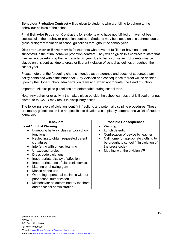**Behaviour Probation Contract** will be given to students who are failing to adhere to the behaviour policies of the school.

**Final Behavior Probation Contract** is for students who have not fulfilled or have not been successful in their behavior probation contract. Students may be placed on this contract due to gross or flagrant violation of school guidelines throughout the school year.

**Discontinuation of Enrollment** is for students who have not fulfilled or have not been successful in their final behavior probation contract. They will be given this contract to state that they will not be returning the next academic year due to behavior issues. Students may be placed on this contract due to gross or flagrant violation of school guidelines throughout the school year.

Please note that the foregoing chart is intended as a reference and does not supersede any policy contained within this handbook. Any violation and consequence thereof will be decided upon by the Upper School administration team and, when appropriate, the Head of School.

Important: All discipline guidelines are enforceable during school trips.

Note: Any behavior or activity that takes place outside the school campus that is illegal or brings disrepute to GAAQ may result in disciplinary action.

The following levels of violation identify infractions and potential discipline procedures. These are merely guidelines as it is not possible to develop a completely comprehensive list of student behaviors.

| <b>Behaviors</b>                                                                                                                                                                                                                                                                                                                                                                                                                                                                                                                                                                                                                                           | <b>Possible Consequences</b>                                                                                                                                                                                                                                |
|------------------------------------------------------------------------------------------------------------------------------------------------------------------------------------------------------------------------------------------------------------------------------------------------------------------------------------------------------------------------------------------------------------------------------------------------------------------------------------------------------------------------------------------------------------------------------------------------------------------------------------------------------------|-------------------------------------------------------------------------------------------------------------------------------------------------------------------------------------------------------------------------------------------------------------|
| Level 1: Initial Warning<br>Disrupting hallway, class and/or school<br>$\bullet$<br>functions<br>Neglecting to obtain requested parent<br>$\bullet$<br>signatures<br>Interfering with others' learning<br>$\bullet$<br>Unexcused tardies<br>$\bullet$<br>Dress code violations<br>$\bullet$<br>Inappropriate display of affection<br>$\bullet$<br>Inappropriate use of electronic devices<br>$\bullet$<br>Littering or chewing gum<br>$\bullet$<br>Mobile phone use<br>$\bullet$<br>Operating a personal business without<br>$\bullet$<br>prior school authorization<br>Misbehavior as determined by teachers<br>$\bullet$<br>and/or school administration | Warning<br>$\bullet$<br>Lunch detention<br>Confiscation of device by teacher<br>$\bullet$<br>Call home for appropriate clothing to<br>$\bullet$<br>be brought to school (if in violation of<br>the dress code)<br>Meeting with the division VP<br>$\bullet$ |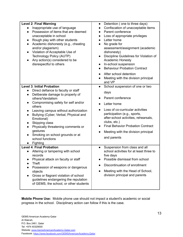| Level 2: Final Warning<br>Inappropriate use of language<br>Possession of items that are deemed<br>unacceptable in school<br>Rough play with other students<br>$\bullet$<br>Academic dishonesty (e.g., cheating<br>and/or plagiarism)<br>Violation of Acceptable Use of<br>$\bullet$<br>Technology Policy (AUTP)<br>Any action(s) considered to be<br>disrespectful to others                                                                                                                                                    | Detention (one to three days)<br>$\bullet$<br>Confiscation of unacceptable items<br>Parent conference<br>Loss of appropriate privileges<br>Letter home<br>No grade for<br>assessment/assignment (academic<br>dishonesty)<br>Discipline Guidelines for Violation of<br>$\bullet$<br><b>Academic Honesty</b><br>In-school suspension<br><b>Behaviour Probation Contract</b><br>After school detention<br>Meeting with the division principal<br>and VP |
|---------------------------------------------------------------------------------------------------------------------------------------------------------------------------------------------------------------------------------------------------------------------------------------------------------------------------------------------------------------------------------------------------------------------------------------------------------------------------------------------------------------------------------|------------------------------------------------------------------------------------------------------------------------------------------------------------------------------------------------------------------------------------------------------------------------------------------------------------------------------------------------------------------------------------------------------------------------------------------------------|
| <b>Level 3: Initial Probation</b><br>Direct defiance to faculty or staff<br>$\bullet$<br>Deliberate damage to property of<br>$\bullet$<br>others/Vandalism<br>Compromising safety for self and/or<br>$\bullet$<br>others<br>Leaving campus without authorization<br>$\bullet$<br>Bullying (Cyber, Verbal, Physical and<br>$\bullet$<br>Emotional)<br>Skipping class<br>$\bullet$<br>Physically threatening comments or<br>$\bullet$<br>gestures<br>Smoking on school grounds or at<br>$\bullet$<br>school functions<br>Fighting | School suspension of one or two<br>$\bullet$<br>days<br>Parent conference<br>Letter home<br>Loss of co-curricular activities<br>participation (e.g., sports,<br>after-school activities, rehearsals,<br>clubs, etc.)<br><b>Final Behavior Probation Contract</b><br>Meeting with the division principal<br>and parents                                                                                                                               |
| Level 4: Final Probation<br>Altering or tampering with school<br>records<br>Physical attack on faculty or staff<br><b>Theft</b><br>Possession of weapons or dangerous<br>objects<br>Gross or flagrant violation of school<br>guidelines endangering the reputation<br>of GEMS, the school, or other students                                                                                                                                                                                                                    | Suspension from class and all<br>$\bullet$<br>school activities for at least three to<br>five days<br>Possible dismissal from school<br>Discontinuation of enrollment<br>Meeting with the Head of School,<br>division principal and parents                                                                                                                                                                                                          |

**Mobile Phone Use:** Mobile phone use should not impact a student's academic or social progress in the school. Disciplinary action can follow if this is the case.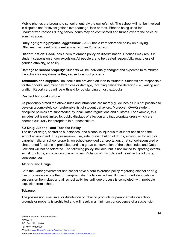Mobile phones are brought to school at entirely the owner's risk. The school will not be involved in disputes and/or investigations over damage, loss or theft. Phones being used for unauthorized reasons during school hours may be confiscated and turned over to the office or administration.

**Bullying/fighting/physical aggression**: GAAQ has a zero tolerance policy on bullying. Offenses may result in student suspension and/or expulsion.

**Discrimination**: GAAQ has a zero tolerance policy on discrimination. Offenses may result in student suspension and/or expulsion. All people are to be treated respectfully, regardless of gender, ethnicity, or ability.

**Damage to school property**: Students will be individually charged and expected to reimburse the school for any damage they cause to school property.

**Textbooks and supplies**: Textbooks are provided on loan to students. Students are responsible for their books, and must pay for loss or damage, including deliberate defacing (i.e., writing and graffiti). Report cards will be withheld for outstanding or lost textbooks.

#### **Respect for local culture:**

As previously stated the above rules and infractions are merely guidelines as it is not possible to develop a completely comprehensive list of student behaviors. Moreover, GAAQ student discipline policies are superseded by local Qatari regulations and customs. For example, this includes but is not limited to, public displays of affection and inappropriate dress which are deemed culturally inappropriate in our host culture.

#### <span id="page-13-0"></span>**6.2 Drug, Alcohol, and Tobacco Policy**

The use of drugs, controlled substances, and alcohol is injurious to student health and the school environment. The possession, use, sale, or distribution of drugs, alcohol, or tobacco or paraphernalia on school property, on school-provided transportation, or at school-sponsored or chaperoned functions is prohibited and is a grave contravention of the school rules and Qatar Law and will not be tolerated. The following policy includes, but is not limited to, sporting events, social functions, and co-curricular activities. Violation of this policy will result in the following consequences:

#### **Alcohol and Drugs**:

Both the Qatar government and school have a zero tolerance policy regarding alcohol or drug use or possession of either or paraphernalia. Violations will result in an immediate indefinite suspension from class and all school activities until due process is completed, with probable expulsion from school.

#### **Tobacco**:

The possession, use, sale, or distribution of tobacco products or paraphernalia on school grounds or property is prohibited and will result in a minimum consequence of a suspension.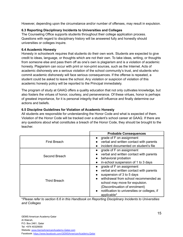However, depending upon the circumstance and/or number of offenses, may result in expulsion.

#### <span id="page-14-0"></span>**6.3 Reporting Disciplinary Incidents to Universities and Colleges**

The Counseling Office supports students throughout their college application process. Questions with regard to disciplinary history will be answered fully and honestly should universities or colleges inquire.

#### <span id="page-14-1"></span>**6.4 Academic Honesty**

Honesty in schoolwork requires that students do their own work. Students are expected to give credit to ideas, language, or thoughts which are not their own. To take ideas, writing, or thoughts from someone else and pass them off as one's own is plagiarism and is a violation of academic honesty. Plagiarism can occur with print or non-print sources, such as the Internet. Acts of academic dishonesty are a serious violation of the school community's trust, and students who commit academic dishonesty will face serious consequences. If the offense is repeated, a student could be asked to leave the school. Any violation or suspicion of violation of this academic honesty policy will be reported to the Principal immediately.

The program of study at GAAQ offers a quality education that not only cultivates knowledge, but also fosters the virtues of honor, courtesy, and perseverance. Of these virtues, honor is perhaps of greatest importance, for it is personal integrity that will influence and finally determine our actions and beliefs.

#### <span id="page-14-2"></span>**6.5 Discipline Guidelines for Violation of Academic Honesty**

All students are responsible for understanding the Honor Code and what is expected of them. Violation of the Honor Code will be tracked over a student's school career at GAAQ. If there are any questions about what constitutes a breach of the Honor Code, they should be brought to the teacher.

|                     | <b>Probable Consequences</b>                                                                                                                                                                                                                                                                                        |  |
|---------------------|---------------------------------------------------------------------------------------------------------------------------------------------------------------------------------------------------------------------------------------------------------------------------------------------------------------------|--|
| <b>First Breach</b> | grade of F on assignment<br>$\bullet$<br>verbal and written contact with parents<br>$\bullet$<br>incident documented on student's file                                                                                                                                                                              |  |
| Second Breach       | grade of F on assignment<br>$\bullet$<br>verbal and written contact with parents<br>$\bullet$<br>behavioral probation<br>$\bullet$<br>in-school suspension of 1 to 3 days<br>$\bullet$                                                                                                                              |  |
| <b>Third Breach</b> | grade of F on assignment<br>$\bullet$<br>verbal and written contact with parents<br>suspension of 3 to 5 days<br>withdrawal from school recommended as<br>$\bullet$<br>school may move for expulsion.<br>(Discontinuation of enrolment)<br>notification to universities or colleges, if<br>$\bullet$<br>applicable* |  |

\**Please refer to section 6.6 in this Handbook on Reporting Disciplinary Incidents to Universities and Colleges*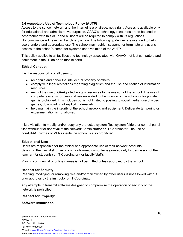#### <span id="page-15-0"></span>**6.6 Acceptable Use of Technology Policy (AUTP)**

Access to the school network and the Internet is a privilege, not a right. Access is available only for educational and administrative purposes. GAAQ's technology resources are to be used in accordance with this AUP and all users will be required to comply with its regulations. Noncompliance will result in disciplinary action. The following guidelines are intended to help users understand appropriate use. The school may restrict, suspend, or terminate any user's access to the school's computer systems upon violation of the AUTP.

This policy applies to all facilities and technology associated with GAAQ, not just computers and equipment in the IT lab or on mobile carts.

#### **Ethical Conduct:**

It is the responsibility of all users to:

- recognize and honor the intellectual property of others
- comply with legal restrictions regarding plagiarism and the use and citation of information resources
- restrict the use of GAAQ's technology resources to the mission of the school. The use of computer systems for personal use unrelated to the mission of the school or for private gain is prohibited. This includes but is not limited to posting to social media, use of video games, downloading of explicit material etc.
- help maintain the integrity of the school network and equipment. Deliberate tampering or experimentation is not allowed.

It is a violation to modify and/or copy any protected system files, system folders or control panel files without prior approval of the Network Administrator or IT Coordinator. The use of non-GAAQ proxies or VPNs inside the school is also prohibited.

#### **Educational Use:**

Users are responsible for the ethical and appropriate use of their network accounts. Saving to the hard disk drive of a school-owned computer is granted only by permission of the teacher (for students) or IT Coordinator (for faculty/staff).

Playing commercial or online games is not permitted unless approved by the school.

#### **Respect for Security:**

Reading, modifying, or removing files and/or mail owned by other users is not allowed without prior approval by the instructor or IT Coordinator.

Any attempts to transmit software designed to compromise the operation or security of the network is prohibited.

#### **Respect for Property:**

#### **Software Installation**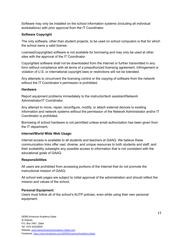Software may only be installed on the school information systems (including all individual workstations) with prior approval from the IT Coordinator.

#### **Software Copyright**

The only software, other than student projects, to be used on school computers is that for which the school owns a valid license.

Licensed/copyrighted software is not available for borrowing and may only be used at other sites with the approval of the IT Coordinator.

Copyrighted software shall not be downloaded from the Internet or further transmitted in any form without compliance with all terms of a preauthorized licensing agreement. Infringement or violation of U.S. or international copyright laws or restrictions will not be tolerated.

Any attempts to circumvent the licensing control or the copying of software from the network without the IT Coordinator's permission is prohibited.

#### **Hardware**

Report equipment problems immediately to the instructor/tech assistant/Network Administrator/IT Coordinator.

Any attempt to move, repair, reconfigure, modify, or attach external devices to existing information and network systems without the permission of the Network Administrator and/or IT Coordinator is prohibited.

Borrowing of school hardware is not permitted unless email authorization has been given from the IT department.

#### **Internet/World Wide Web Usage:**

Internet access is available to all students and teachers at GAAQ. We believe these communication links offer vast, diverse, and unique resources to both students and staff, and their availability outweighs any possible access to information that is not consistent with the educational goals of GAAQ.

#### **Responsibilities**

All users are prohibited from accessing portions of the Internet that do not promote the instructional mission of GAAQ.

All school web pages are subject to initial approval of the administration and should reflect the mission and values of the school.

#### **Personal Equipment:**

Users must follow all of the school's AUTP policies, even while using their own personal equipment.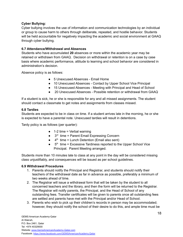#### **Cyber Bullying:**

Cyber bullying involves the use of information and communication technologies by an individual or group to cause harm to others through deliberate, repeated, and hostile behavior. Students will be held accountable for negatively impacting the academic and social environment at GAAQ through cyber bullying.

#### <span id="page-17-0"></span>**6.7 Attendance/Withdrawal and Absences**

Students who have accumulated **20** absences or more within the academic year may be retained or withdrawn from GAAQ. Decision on withdrawal or retention is on a case by case basis where academic performance, attitude to learning and school behavior are considered in administration's decision.

Absence policy is as follows:

- 5 Unexcused Absences Email Home
- 10 Unexcused Absences Contact by Upper School Vice Principal
- 15 Unexcused Absences Meeting with Principal and Head of School
- 20 Unexcused Absences Possible retention or withdrawal from GAAQ

If a student is sick, he or she is responsible for any and all missed assignments. The student should contact a classmate to get notes and assignments from classes missed.

#### <span id="page-17-1"></span>**6.8 Tardies**

Students are expected to be in class on time. If a student arrives late in the morning, he or she is expected to have a parental note. Unexcused tardies will result in detentions.

Tardy policy is as follows (per quarter):

- $\bullet$  1-2 time = Verbal warning
- $\bullet$  3<sup>rd</sup> time = Parent Email Expressing Concern
- $\bullet$  4<sup>th</sup> time = Lunch Detention (Email also sent)
- $\bullet$  5<sup>th</sup> time = Excessive Tardiness reported to the Upper School Vice Principal. Parent Meeting arranged.

Students more than 10 minutes late to class at any point in the day will be considered missing class unjustifiably, and consequences will be issued as per school guidelines.

#### <span id="page-17-2"></span>**6.9 Withdrawal Procedures**

- 1. Parents should notify the Principal and Registrar, and students should notify their teachers of the withdrawal date as far in advance as possible, preferably a minimum of two weeks ahead of time.
- 2. The Registrar will issue a withdrawal form that will be taken by the student to all concerned teachers and the library, and then the form will be returned to the Registrar. The Registrar will notify parents, the Principal, and the Head of School of any outstanding fees. Transfer certificates will be given to parents once all outstanding fees are settled and parents have met with the Principal and/or Head of School.
- 3. Parents who wish to pick up their children's records in person may be accommodated; however, they should notify the school of their desire to do this, and ample time must be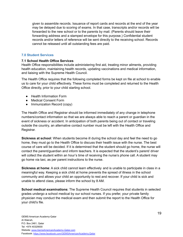given to assemble records. Issuance of report cards and records at the end of the year may be delayed due to scoring of exams. In that case, transcripts and/or records will be forwarded to the new school or to the parents by mail. (Parents should leave their forwarding address and a stamped envelope for this purpose.) Confidential student records and/or letters of reference will be sent directly to the receiving school. Records cannot be released until all outstanding fees are paid.

#### <span id="page-18-0"></span>**7.0 Student Services**

#### <span id="page-18-1"></span>**7.1 School Health Office Services**

Health Office responsibilities include administering first aid, treating minor ailments, providing health education, maintaining health records, updating vaccinations and medical information, and liaising with the Supreme Health Council.

The Health Office requires that the following completed forms be kept on file at school to enable us to care for your child effectively. These forms must be completed and returned to the Health Office directly, prior to your child starting school.

- Health Information Form
- Medical Consent Form
- Immunization Record (copy)

The Health Office and Registrar should be informed immediately of any change in telephone numbers/contact information so that we are always able to reach a parent or guardian in the event of sickness or accident. In anticipation of both parents being out of contact or traveling outside the country, an alternative contact number must be left with the Health Office and Registrar.

**Sickness at school**: When students become ill during the school day and feel the need to go home, they must go to the Health Office to discuss their health issue with the nurse. The best course of care will be decided. If it is determined that the student should go home, the nurse will contact the parent/guardian and inform teachers. It is expected that the student's parent/ driver will collect the student within an hour's time of receiving the nurse's phone call. A student may go home via taxi, as per parent instructions to the nurse.

**Sickness at home**: A sick child cannot learn effectively and is unable to participate in class in a meaningful way. Keeping a sick child at home prevents the spread of illness in the school community and allows your child an opportunity to rest and recover. If your child is sick and unable to attend class, please inform the school by 8 AM.

**School medical examinations**: The Supreme Health Council requires that students in selected grades undergo a school medical by our school nurses. If you prefer, your private family physician may conduct the medical exam and then submit the report to the Health Office for your child's file.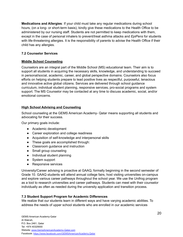**Medications and Allergies**: If your child must take any regular medications during school hours, (on a long- or short-term basis), kindly give these medications to the Health Office to be administered by our nursing staff. Students are not permitted to keep medications with them, except in the case of personal inhalers to prevent/treat asthma attacks and *EpiPens* for students with life-threatening allergies. It is the responsibility of parents to advise the Health Office if their child has any allergies.

#### <span id="page-19-0"></span>**7.2 Counselor Services**

#### **Middle School Counseling**

Counselors are an integral part of the Middle School (MS) educational team. Their aim is to support all students in acquiring the necessary skills, knowledge, and understanding to succeed in personal/social, academic, career, and global perspective domains. Counselors also focus efforts on helping students prepare to lead positive lives as respectful, purposeful, tenacious and innovative active global citizens. Services are delivered through school guidance curriculum, individual student planning, responsive services, pro-social programs and system support. The MS Counselor may be contacted at any time to discuss academic, social, and/or emotional concerns.

#### **High School Advising and Counseling**

School counseling at the GEMS American Academy- Qatar means supporting all students and advocating for their success.

Our primary goals include:

- Academic development
- Career exploration and college readiness
- Acquisition of self-knowledge and interpersonal skills
- These goals are accomplished through:
- Classroom guidance and instruction
- Small group counseling
- Individual student planning
- System support
- Responsive services

University/Career advising is proactive at GAAQ, formally beginning in the second semester of Grade 10. GAAQ students will attend annual college fairs, host visiting universities on-campus and explore various career pathways throughout the school year. We use the Unifrog program as a tool to research universities and career pathways. Students can meet with their counselor individually as often as needed during the university application and transition process.

#### <span id="page-19-1"></span>**7.3 Student Support Program for Academic Differences**

We realize that our students learn in different ways and have varying academic abilities. To address the needs of upper school students who are enrolled in our academic services